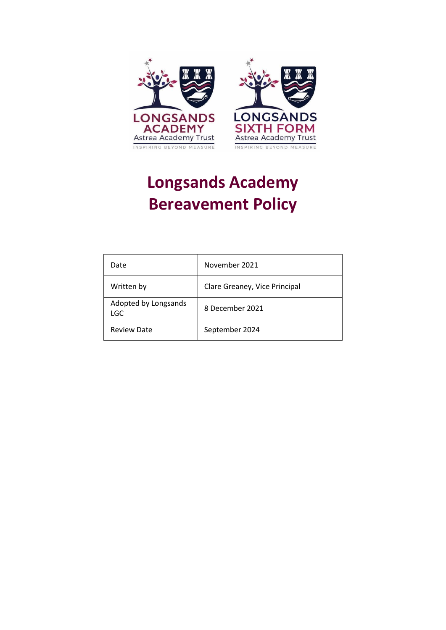

# **Longsands Academy Bereavement Policy**

| Date                               | November 2021                 |
|------------------------------------|-------------------------------|
| Written by                         | Clare Greaney, Vice Principal |
| Adopted by Longsands<br><b>LGC</b> | 8 December 2021               |
| <b>Review Date</b>                 | September 2024                |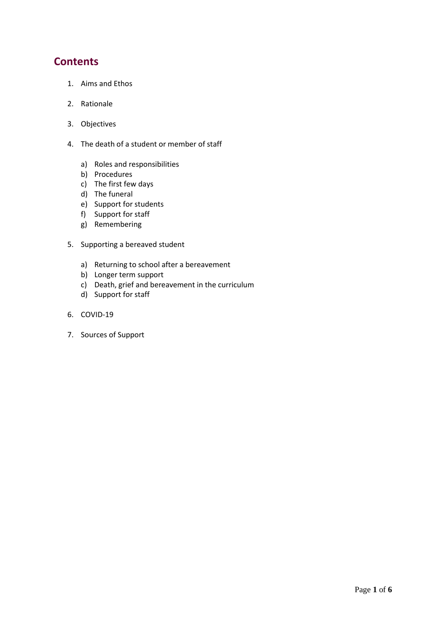## **Contents**

- 1. Aims and Ethos
- 2. Rationale
- 3. Objectives
- 4. The death of a student or member of staff
	- a) Roles and responsibilities
	- b) Procedures
	- c) The first few days
	- d) The funeral
	- e) Support for students
	- f) Support for staff
	- g) Remembering
- 5. Supporting a bereaved student
	- a) Returning to school after a bereavement
	- b) Longer term support
	- c) Death, grief and bereavement in the curriculum
	- d) Support for staff
- 6. COVID-19
- 7. Sources of Support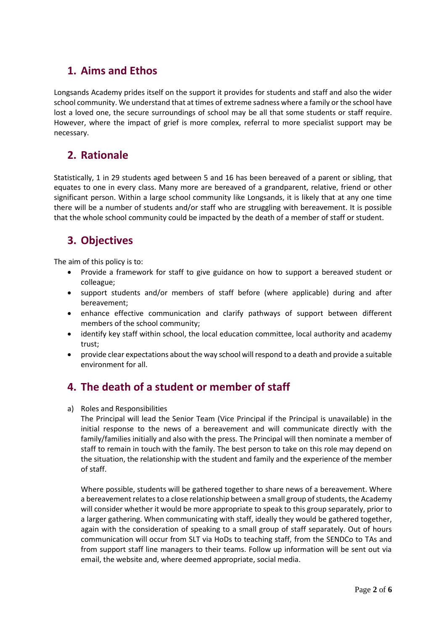# **1. Aims and Ethos**

Longsands Academy prides itself on the support it provides for students and staff and also the wider school community. We understand that at times of extreme sadness where a family or the school have lost a loved one, the secure surroundings of school may be all that some students or staff require. However, where the impact of grief is more complex, referral to more specialist support may be necessary.

## **2. Rationale**

Statistically, 1 in 29 students aged between 5 and 16 has been bereaved of a parent or sibling, that equates to one in every class. Many more are bereaved of a grandparent, relative, friend or other significant person. Within a large school community like Longsands, it is likely that at any one time there will be a number of students and/or staff who are struggling with bereavement. It is possible that the whole school community could be impacted by the death of a member of staff or student.

# **3. Objectives**

The aim of this policy is to:

- Provide a framework for staff to give guidance on how to support a bereaved student or colleague;
- support students and/or members of staff before (where applicable) during and after bereavement;
- enhance effective communication and clarify pathways of support between different members of the school community;
- identify key staff within school, the local education committee, local authority and academy trust;
- provide clear expectations about the way school will respond to a death and provide a suitable environment for all.

## **4. The death of a student or member of staff**

a) Roles and Responsibilities

The Principal will lead the Senior Team (Vice Principal if the Principal is unavailable) in the initial response to the news of a bereavement and will communicate directly with the family/families initially and also with the press. The Principal will then nominate a member of staff to remain in touch with the family. The best person to take on this role may depend on the situation, the relationship with the student and family and the experience of the member of staff.

Where possible, students will be gathered together to share news of a bereavement. Where a bereavement relates to a close relationship between a small group of students, the Academy will consider whether it would be more appropriate to speak to this group separately, prior to a larger gathering. When communicating with staff, ideally they would be gathered together, again with the consideration of speaking to a small group of staff separately. Out of hours communication will occur from SLT via HoDs to teaching staff, from the SENDCo to TAs and from support staff line managers to their teams. Follow up information will be sent out via email, the website and, where deemed appropriate, social media.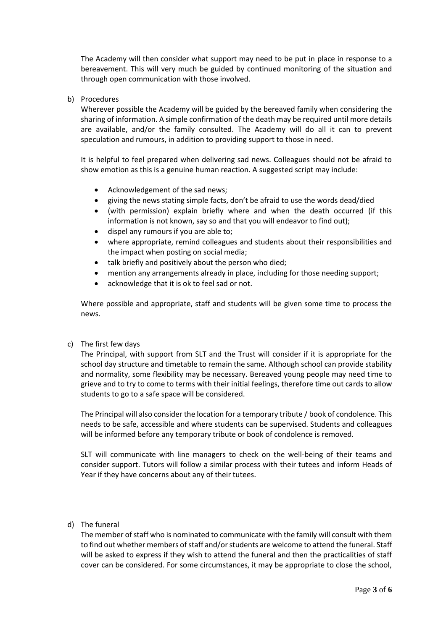The Academy will then consider what support may need to be put in place in response to a bereavement. This will very much be guided by continued monitoring of the situation and through open communication with those involved.

b) Procedures

Wherever possible the Academy will be guided by the bereaved family when considering the sharing of information. A simple confirmation of the death may be required until more details are available, and/or the family consulted. The Academy will do all it can to prevent speculation and rumours, in addition to providing support to those in need.

It is helpful to feel prepared when delivering sad news. Colleagues should not be afraid to show emotion as this is a genuine human reaction. A suggested script may include:

- Acknowledgement of the sad news;
- giving the news stating simple facts, don't be afraid to use the words dead/died
- (with permission) explain briefly where and when the death occurred (if this information is not known, say so and that you will endeavor to find out);
- dispel any rumours if you are able to;
- where appropriate, remind colleagues and students about their responsibilities and the impact when posting on social media;
- talk briefly and positively about the person who died;
- mention any arrangements already in place, including for those needing support;
- acknowledge that it is ok to feel sad or not.

Where possible and appropriate, staff and students will be given some time to process the news.

c) The first few days

The Principal, with support from SLT and the Trust will consider if it is appropriate for the school day structure and timetable to remain the same. Although school can provide stability and normality, some flexibility may be necessary. Bereaved young people may need time to grieve and to try to come to terms with their initial feelings, therefore time out cards to allow students to go to a safe space will be considered.

The Principal will also consider the location for a temporary tribute / book of condolence. This needs to be safe, accessible and where students can be supervised. Students and colleagues will be informed before any temporary tribute or book of condolence is removed.

SLT will communicate with line managers to check on the well-being of their teams and consider support. Tutors will follow a similar process with their tutees and inform Heads of Year if they have concerns about any of their tutees.

d) The funeral

The member of staff who is nominated to communicate with the family will consult with them to find out whether members of staff and/or students are welcome to attend the funeral. Staff will be asked to express if they wish to attend the funeral and then the practicalities of staff cover can be considered. For some circumstances, it may be appropriate to close the school,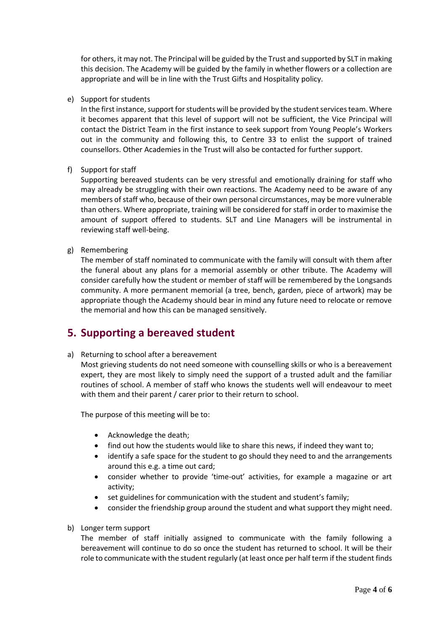for others, it may not. The Principal will be guided by the Trust and supported by SLT in making this decision. The Academy will be guided by the family in whether flowers or a collection are appropriate and will be in line with the Trust Gifts and Hospitality policy.

e) Support for students

In the first instance, support for students will be provided by the student services team. Where it becomes apparent that this level of support will not be sufficient, the Vice Principal will contact the District Team in the first instance to seek support from Young People's Workers out in the community and following this, to Centre 33 to enlist the support of trained counsellors. Other Academies in the Trust will also be contacted for further support.

f) Support for staff

Supporting bereaved students can be very stressful and emotionally draining for staff who may already be struggling with their own reactions. The Academy need to be aware of any members of staff who, because of their own personal circumstances, may be more vulnerable than others. Where appropriate, training will be considered for staff in order to maximise the amount of support offered to students. SLT and Line Managers will be instrumental in reviewing staff well-being.

g) Remembering

The member of staff nominated to communicate with the family will consult with them after the funeral about any plans for a memorial assembly or other tribute. The Academy will consider carefully how the student or member of staff will be remembered by the Longsands community. A more permanent memorial (a tree, bench, garden, piece of artwork) may be appropriate though the Academy should bear in mind any future need to relocate or remove the memorial and how this can be managed sensitively.

#### **5. Supporting a bereaved student**

a) Returning to school after a bereavement

Most grieving students do not need someone with counselling skills or who is a bereavement expert, they are most likely to simply need the support of a trusted adult and the familiar routines of school. A member of staff who knows the students well will endeavour to meet with them and their parent / carer prior to their return to school.

The purpose of this meeting will be to:

- Acknowledge the death;
- find out how the students would like to share this news, if indeed they want to;
- identify a safe space for the student to go should they need to and the arrangements around this e.g. a time out card;
- consider whether to provide 'time-out' activities, for example a magazine or art activity;
- set guidelines for communication with the student and student's family;
- consider the friendship group around the student and what support they might need.
- b) Longer term support

The member of staff initially assigned to communicate with the family following a bereavement will continue to do so once the student has returned to school. It will be their role to communicate with the student regularly (at least once per half term if the student finds